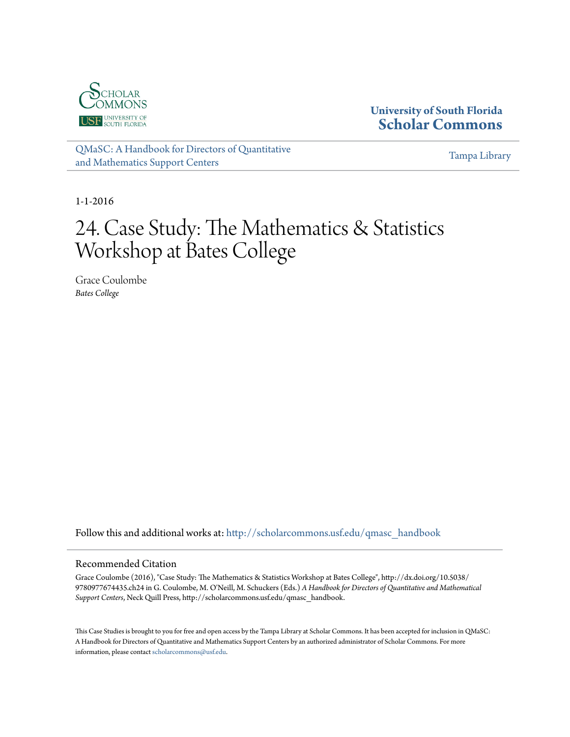

## **University of South Florida [Scholar Commons](http://scholarcommons.usf.edu?utm_source=scholarcommons.usf.edu%2Fqmasc_handbook%2F24&utm_medium=PDF&utm_campaign=PDFCoverPages)**

[QMaSC: A Handbook for Directors of Quantitative](http://scholarcommons.usf.edu/qmasc_handbook?utm_source=scholarcommons.usf.edu%2Fqmasc_handbook%2F24&utm_medium=PDF&utm_campaign=PDFCoverPages) [and Mathematics Support Centers](http://scholarcommons.usf.edu/qmasc_handbook?utm_source=scholarcommons.usf.edu%2Fqmasc_handbook%2F24&utm_medium=PDF&utm_campaign=PDFCoverPages)

[Tampa Library](http://scholarcommons.usf.edu/tlib?utm_source=scholarcommons.usf.edu%2Fqmasc_handbook%2F24&utm_medium=PDF&utm_campaign=PDFCoverPages)

1-1-2016

# 24. Case Study: The Mathematics & Statistics Workshop at Bates College

Grace Coulombe *Bates College*

Follow this and additional works at: [http://scholarcommons.usf.edu/qmasc\\_handbook](http://scholarcommons.usf.edu/qmasc_handbook?utm_source=scholarcommons.usf.edu%2Fqmasc_handbook%2F24&utm_medium=PDF&utm_campaign=PDFCoverPages)

#### Recommended Citation

Grace Coulombe (2016), "Case Study: The Mathematics & Statistics Workshop at Bates College", http://dx.doi.org/10.5038/ 9780977674435.ch24 in G. Coulombe, M. O'Neill, M. Schuckers (Eds.) *A Handbook for Directors of Quantitative and Mathematical Support Centers*, Neck Quill Press, http://scholarcommons.usf.edu/qmasc\_handbook.

This Case Studies is brought to you for free and open access by the Tampa Library at Scholar Commons. It has been accepted for inclusion in QMaSC: A Handbook for Directors of Quantitative and Mathematics Support Centers by an authorized administrator of Scholar Commons. For more information, please contact [scholarcommons@usf.edu.](mailto:scholarcommons@usf.edu)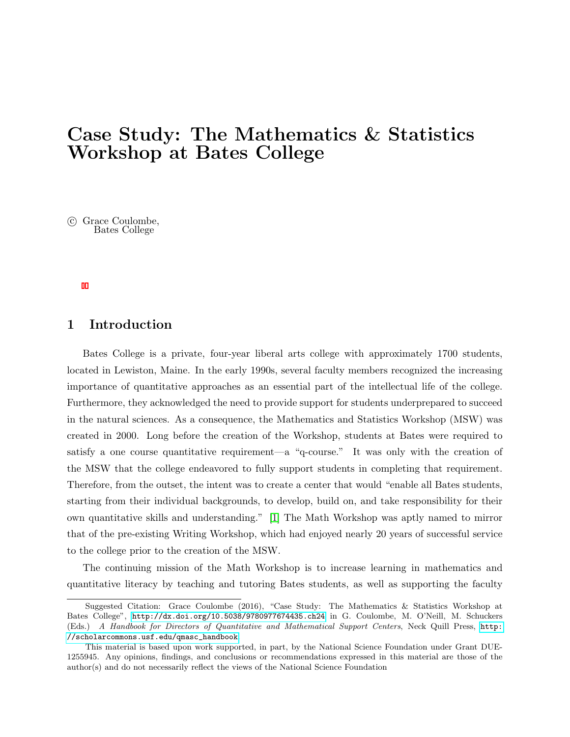## Case Study: The Mathematics & Statistics Workshop at Bates College

 $\odot$  Grace Coulombe, Bates College

## 1 Introduction

Bates College is a private, four-year liberal arts college with approximately 1700 students, located in Lewiston, Maine. In the early 1990s, several faculty members recognized the increasing importance of quantitative approaches as an essential part of the intellectual life of the college. Furthermore, they acknowledged the need to provide support for students underprepared to succeed in the natural sciences. As a consequence, the Mathematics and Statistics Workshop (MSW) was created in 2000. Long before the creation of the Workshop, students at Bates were required to satisfy a one course quantitative requirement—a "q-course." It was only with the creation of the MSW that the college endeavored to fully support students in completing that requirement. Therefore, from the outset, the intent was to create a center that would "enable all Bates students, starting from their individual backgrounds, to develop, build on, and take responsibility for their own quantitative skills and understanding." [1] The Math Workshop was aptly named to mirror that of the pre-existing Writing Workshop, which had enjoyed nearly 20 years of successful service to the college prior to the creation of the MSW.

The continuing mission of the Math Workshop is to increase learning in mathematics and quantitative literacy by teaching and tutoring Bates students, as well as supporting the faculty

Suggested Citation: Grace Coulombe (2016), "Case Study: The Mathematics & Statistics Workshop at Bates College", <http://dx.doi.org/10.5038/9780977674435.ch24> in G. Coulombe, M. O'Neill, M. Schuckers (Eds.) A Handbook for Directors of Quantitative and Mathematical Support Centers, Neck Quill Press, [http:](http://scholarcommons.usf.edu/qmasc_handbook) [//scholarcommons.usf.edu/qmasc\\_handbook](http://scholarcommons.usf.edu/qmasc_handbook).

This material is based upon work supported, in part, by the National Science Foundation under Grant DUE-1255945. Any opinions, findings, and conclusions or recommendations expressed in this material are those of the author(s) and do not necessarily reflect the views of the National Science Foundation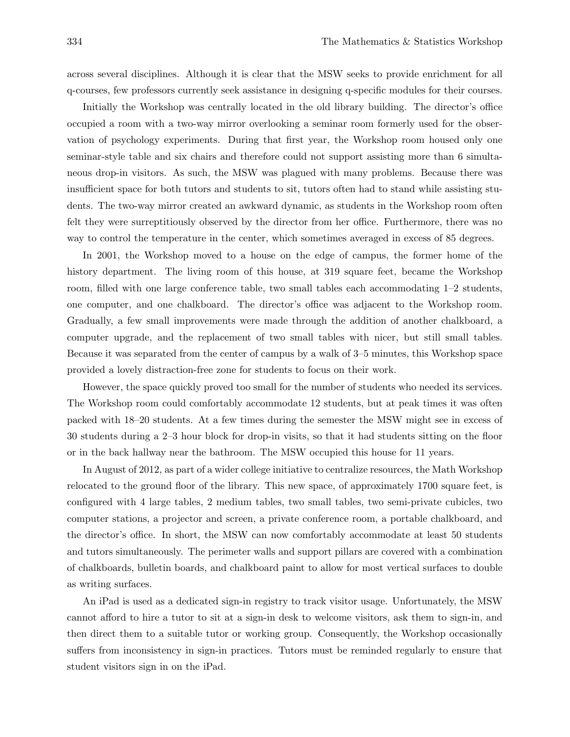across several disciplines. Although it is clear that the MSW seeks to provide enrichment for all q-courses, few professors currently seek assistance in designing q-specific modules for their courses.

Initially the Workshop was centrally located in the old library building. The director's office occupied a room with a two-way mirror overlooking a seminar room formerly used for the observation of psychology experiments. During that first year, the Workshop room housed only one seminar-style table and six chairs and therefore could not support assisting more than 6 simultaneous drop-in visitors. As such, the MSW was plagued with many problems. Because there was insufficient space for both tutors and students to sit, tutors often had to stand while assisting students. The two-way mirror created an awkward dynamic, as students in the Workshop room often felt they were surreptitiously observed by the director from her office. Furthermore, there was no way to control the temperature in the center, which sometimes averaged in excess of 85 degrees.

In 2001, the Workshop moved to a house on the edge of campus, the former home of the history department. The living room of this house, at 319 square feet, became the Workshop room, filled with one large conference table, two small tables each accommodating 1–2 students, one computer, and one chalkboard. The director's office was adjacent to the Workshop room. Gradually, a few small improvements were made through the addition of another chalkboard, a computer upgrade, and the replacement of two small tables with nicer, but still small tables. Because it was separated from the center of campus by a walk of 3–5 minutes, this Workshop space provided a lovely distraction-free zone for students to focus on their work.

However, the space quickly proved too small for the number of students who needed its services. The Workshop room could comfortably accommodate 12 students, but at peak times it was often packed with 18–20 students. At a few times during the semester the MSW might see in excess of 30 students during a 2–3 hour block for drop-in visits, so that it had students sitting on the floor or in the back hallway near the bathroom. The MSW occupied this house for 11 years.

In August of 2012, as part of a wider college initiative to centralize resources, the Math Workshop relocated to the ground floor of the library. This new space, of approximately 1700 square feet, is configured with 4 large tables, 2 medium tables, two small tables, two semi-private cubicles, two computer stations, a projector and screen, a private conference room, a portable chalkboard, and the director's office. In short, the MSW can now comfortably accommodate at least 50 students and tutors simultaneously. The perimeter walls and support pillars are covered with a combination of chalkboards, bulletin boards, and chalkboard paint to allow for most vertical surfaces to double as writing surfaces.

An iPad is used as a dedicated sign-in registry to track visitor usage. Unfortunately, the MSW cannot afford to hire a tutor to sit at a sign-in desk to welcome visitors, ask them to sign-in, and then direct them to a suitable tutor or working group. Consequently, the Workshop occasionally suffers from inconsistency in sign-in practices. Tutors must be reminded regularly to ensure that student visitors sign in on the iPad.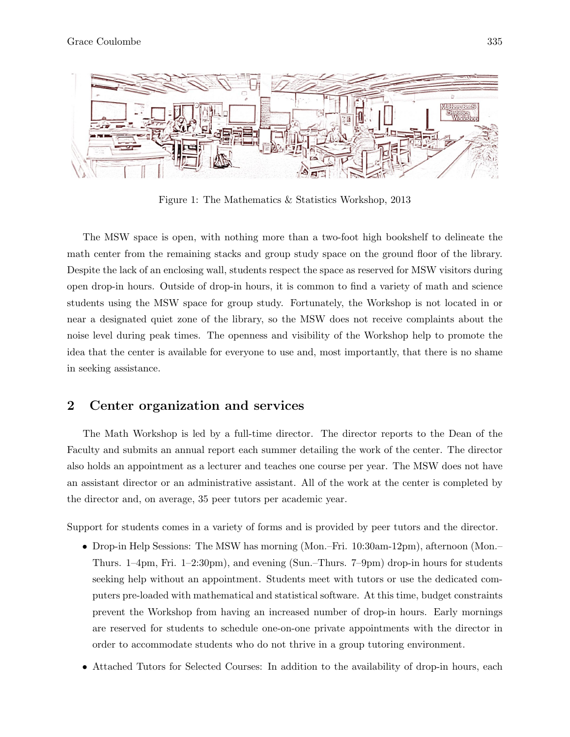

Figure 1: The Mathematics & Statistics Workshop, 2013

The MSW space is open, with nothing more than a two-foot high bookshelf to delineate the math center from the remaining stacks and group study space on the ground floor of the library. Despite the lack of an enclosing wall, students respect the space as reserved for MSW visitors during open drop-in hours. Outside of drop-in hours, it is common to find a variety of math and science students using the MSW space for group study. Fortunately, the Workshop is not located in or near a designated quiet zone of the library, so the MSW does not receive complaints about the noise level during peak times. The openness and visibility of the Workshop help to promote the idea that the center is available for everyone to use and, most importantly, that there is no shame in seeking assistance.

## 2 Center organization and services

The Math Workshop is led by a full-time director. The director reports to the Dean of the Faculty and submits an annual report each summer detailing the work of the center. The director also holds an appointment as a lecturer and teaches one course per year. The MSW does not have an assistant director or an administrative assistant. All of the work at the center is completed by the director and, on average, 35 peer tutors per academic year.

Support for students comes in a variety of forms and is provided by peer tutors and the director.

- Drop-in Help Sessions: The MSW has morning (Mon.–Fri. 10:30am-12pm), afternoon (Mon.– Thurs. 1–4pm, Fri. 1–2:30pm), and evening (Sun.–Thurs. 7–9pm) drop-in hours for students seeking help without an appointment. Students meet with tutors or use the dedicated computers pre-loaded with mathematical and statistical software. At this time, budget constraints prevent the Workshop from having an increased number of drop-in hours. Early mornings are reserved for students to schedule one-on-one private appointments with the director in order to accommodate students who do not thrive in a group tutoring environment.
- Attached Tutors for Selected Courses: In addition to the availability of drop-in hours, each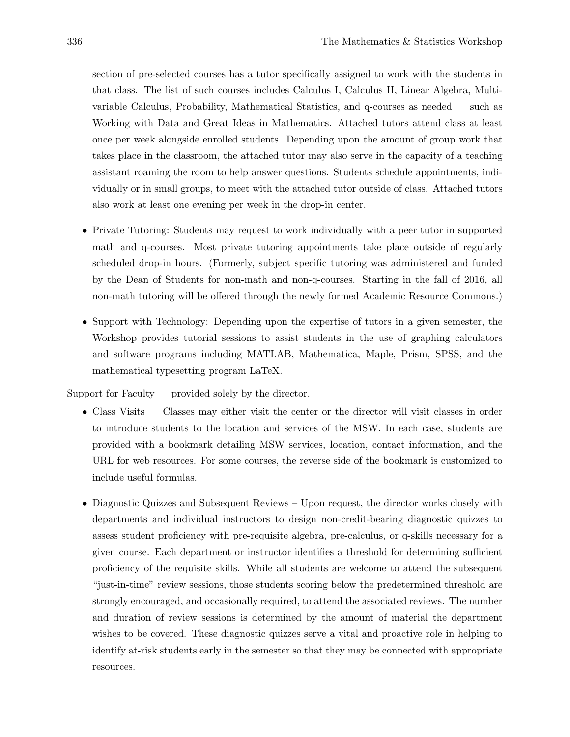section of pre-selected courses has a tutor specifically assigned to work with the students in that class. The list of such courses includes Calculus I, Calculus II, Linear Algebra, Multivariable Calculus, Probability, Mathematical Statistics, and q-courses as needed — such as Working with Data and Great Ideas in Mathematics. Attached tutors attend class at least once per week alongside enrolled students. Depending upon the amount of group work that takes place in the classroom, the attached tutor may also serve in the capacity of a teaching assistant roaming the room to help answer questions. Students schedule appointments, individually or in small groups, to meet with the attached tutor outside of class. Attached tutors also work at least one evening per week in the drop-in center.

- Private Tutoring: Students may request to work individually with a peer tutor in supported math and q-courses. Most private tutoring appointments take place outside of regularly scheduled drop-in hours. (Formerly, subject specific tutoring was administered and funded by the Dean of Students for non-math and non-q-courses. Starting in the fall of 2016, all non-math tutoring will be offered through the newly formed Academic Resource Commons.)
- Support with Technology: Depending upon the expertise of tutors in a given semester, the Workshop provides tutorial sessions to assist students in the use of graphing calculators and software programs including MATLAB, Mathematica, Maple, Prism, SPSS, and the mathematical typesetting program LaTeX.

Support for Faculty — provided solely by the director.

- Class Visits Classes may either visit the center or the director will visit classes in order to introduce students to the location and services of the MSW. In each case, students are provided with a bookmark detailing MSW services, location, contact information, and the URL for web resources. For some courses, the reverse side of the bookmark is customized to include useful formulas.
- Diagnostic Quizzes and Subsequent Reviews Upon request, the director works closely with departments and individual instructors to design non-credit-bearing diagnostic quizzes to assess student proficiency with pre-requisite algebra, pre-calculus, or q-skills necessary for a given course. Each department or instructor identifies a threshold for determining sufficient proficiency of the requisite skills. While all students are welcome to attend the subsequent "just-in-time" review sessions, those students scoring below the predetermined threshold are strongly encouraged, and occasionally required, to attend the associated reviews. The number and duration of review sessions is determined by the amount of material the department wishes to be covered. These diagnostic quizzes serve a vital and proactive role in helping to identify at-risk students early in the semester so that they may be connected with appropriate resources.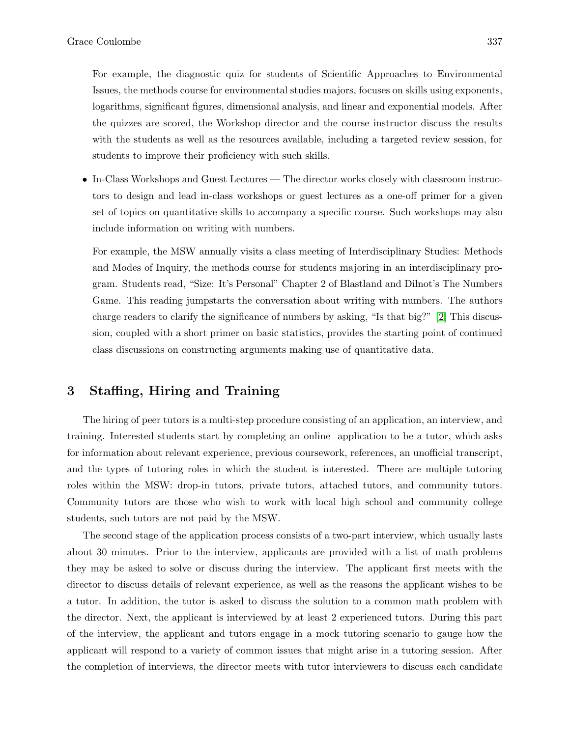For example, the diagnostic quiz for students of Scientific Approaches to Environmental Issues, the methods course for environmental studies majors, focuses on skills using exponents, logarithms, significant figures, dimensional analysis, and linear and exponential models. After the quizzes are scored, the Workshop director and the course instructor discuss the results with the students as well as the resources available, including a targeted review session, for students to improve their proficiency with such skills.

• In-Class Workshops and Guest Lectures — The director works closely with classroom instructors to design and lead in-class workshops or guest lectures as a one-off primer for a given set of topics on quantitative skills to accompany a specific course. Such workshops may also include information on writing with numbers.

For example, the MSW annually visits a class meeting of Interdisciplinary Studies: Methods and Modes of Inquiry, the methods course for students majoring in an interdisciplinary program. Students read, "Size: It's Personal" Chapter 2 of Blastland and Dilnot's The Numbers Game. This reading jumpstarts the conversation about writing with numbers. The authors charge readers to clarify the significance of numbers by asking, "Is that big?" [2] This discussion, coupled with a short primer on basic statistics, provides the starting point of continued class discussions on constructing arguments making use of quantitative data.

## 3 Staffing, Hiring and Training

The hiring of peer tutors is a multi-step procedure consisting of an application, an interview, and training. Interested students start by completing an online application to be a tutor, which asks for information about relevant experience, previous coursework, references, an unofficial transcript, and the types of tutoring roles in which the student is interested. There are multiple tutoring roles within the MSW: drop-in tutors, private tutors, attached tutors, and community tutors. Community tutors are those who wish to work with local high school and community college students, such tutors are not paid by the MSW.

The second stage of the application process consists of a two-part interview, which usually lasts about 30 minutes. Prior to the interview, applicants are provided with a list of math problems they may be asked to solve or discuss during the interview. The applicant first meets with the director to discuss details of relevant experience, as well as the reasons the applicant wishes to be a tutor. In addition, the tutor is asked to discuss the solution to a common math problem with the director. Next, the applicant is interviewed by at least 2 experienced tutors. During this part of the interview, the applicant and tutors engage in a mock tutoring scenario to gauge how the applicant will respond to a variety of common issues that might arise in a tutoring session. After the completion of interviews, the director meets with tutor interviewers to discuss each candidate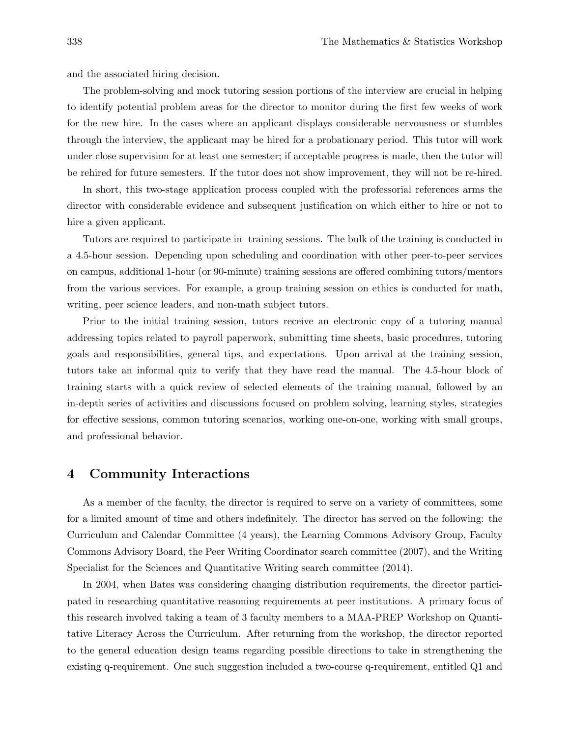and the associated hiring decision.

The problem-solving and mock tutoring session portions of the interview are crucial in helping to identify potential problem areas for the director to monitor during the first few weeks of work for the new hire. In the cases where an applicant displays considerable nervousness or stumbles through the interview, the applicant may be hired for a probationary period. This tutor will work under close supervision for at least one semester; if acceptable progress is made, then the tutor will be rehired for future semesters. If the tutor does not show improvement, they will not be re-hired.

In short, this two-stage application process coupled with the professorial references arms the director with considerable evidence and subsequent justification on which either to hire or not to hire a given applicant.

Tutors are required to participate in training sessions. The bulk of the training is conducted in a 4.5-hour session. Depending upon scheduling and coordination with other peer-to-peer services on campus, additional 1-hour (or 90-minute) training sessions are offered combining tutors/mentors from the various services. For example, a group training session on ethics is conducted for math, writing, peer science leaders, and non-math subject tutors.

Prior to the initial training session, tutors receive an electronic copy of a tutoring manual addressing topics related to payroll paperwork, submitting time sheets, basic procedures, tutoring goals and responsibilities, general tips, and expectations. Upon arrival at the training session, tutors take an informal quiz to verify that they have read the manual. The 4.5-hour block of training starts with a quick review of selected elements of the training manual, followed by an in-depth series of activities and discussions focused on problem solving, learning styles, strategies for effective sessions, common tutoring scenarios, working one-on-one, working with small groups, and professional behavior.

### 4 Community Interactions

As a member of the faculty, the director is required to serve on a variety of committees, some for a limited amount of time and others indefinitely. The director has served on the following: the Curriculum and Calendar Committee (4 years), the Learning Commons Advisory Group, Faculty Commons Advisory Board, the Peer Writing Coordinator search committee (2007), and the Writing Specialist for the Sciences and Quantitative Writing search committee (2014).

In 2004, when Bates was considering changing distribution requirements, the director participated in researching quantitative reasoning requirements at peer institutions. A primary focus of this research involved taking a team of 3 faculty members to a MAA-PREP Workshop on Quantitative Literacy Across the Curriculum. After returning from the workshop, the director reported to the general education design teams regarding possible directions to take in strengthening the existing q-requirement. One such suggestion included a two-course q-requirement, entitled Q1 and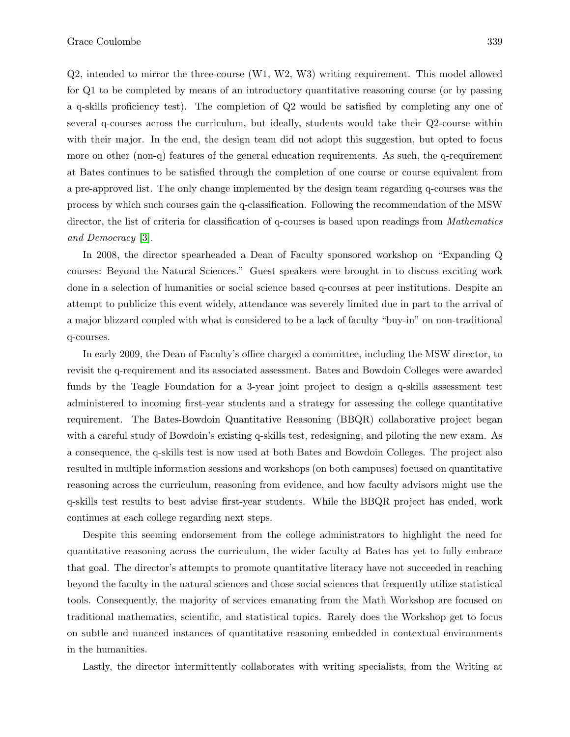Q2, intended to mirror the three-course (W1, W2, W3) writing requirement. This model allowed for Q1 to be completed by means of an introductory quantitative reasoning course (or by passing a q-skills proficiency test). The completion of Q2 would be satisfied by completing any one of several q-courses across the curriculum, but ideally, students would take their Q2-course within with their major. In the end, the design team did not adopt this suggestion, but opted to focus more on other (non-q) features of the general education requirements. As such, the q-requirement at Bates continues to be satisfied through the completion of one course or course equivalent from a pre-approved list. The only change implemented by the design team regarding q-courses was the process by which such courses gain the q-classification. Following the recommendation of the MSW director, the list of criteria for classification of q-courses is based upon readings from *Mathematics* and Democracy [3].

In 2008, the director spearheaded a Dean of Faculty sponsored workshop on "Expanding Q courses: Beyond the Natural Sciences." Guest speakers were brought in to discuss exciting work done in a selection of humanities or social science based q-courses at peer institutions. Despite an attempt to publicize this event widely, attendance was severely limited due in part to the arrival of a major blizzard coupled with what is considered to be a lack of faculty "buy-in" on non-traditional q-courses.

In early 2009, the Dean of Faculty's office charged a committee, including the MSW director, to revisit the q-requirement and its associated assessment. Bates and Bowdoin Colleges were awarded funds by the Teagle Foundation for a 3-year joint project to design a q-skills assessment test administered to incoming first-year students and a strategy for assessing the college quantitative requirement. The Bates-Bowdoin Quantitative Reasoning (BBQR) collaborative project began with a careful study of Bowdoin's existing q-skills test, redesigning, and piloting the new exam. As a consequence, the q-skills test is now used at both Bates and Bowdoin Colleges. The project also resulted in multiple information sessions and workshops (on both campuses) focused on quantitative reasoning across the curriculum, reasoning from evidence, and how faculty advisors might use the q-skills test results to best advise first-year students. While the BBQR project has ended, work continues at each college regarding next steps.

Despite this seeming endorsement from the college administrators to highlight the need for quantitative reasoning across the curriculum, the wider faculty at Bates has yet to fully embrace that goal. The director's attempts to promote quantitative literacy have not succeeded in reaching beyond the faculty in the natural sciences and those social sciences that frequently utilize statistical tools. Consequently, the majority of services emanating from the Math Workshop are focused on traditional mathematics, scientific, and statistical topics. Rarely does the Workshop get to focus on subtle and nuanced instances of quantitative reasoning embedded in contextual environments in the humanities.

Lastly, the director intermittently collaborates with writing specialists, from the Writing at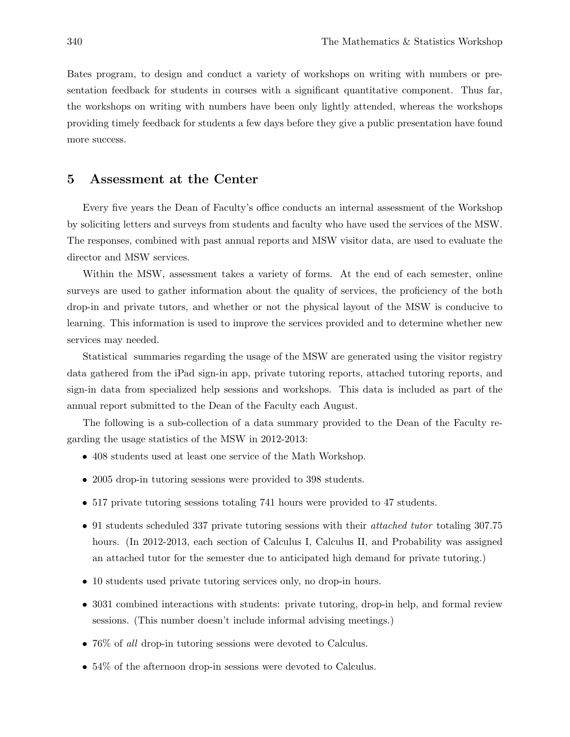Bates program, to design and conduct a variety of workshops on writing with numbers or presentation feedback for students in courses with a significant quantitative component. Thus far, the workshops on writing with numbers have been only lightly attended, whereas the workshops providing timely feedback for students a few days before they give a public presentation have found more success.

## 5 Assessment at the Center

Every five years the Dean of Faculty's office conducts an internal assessment of the Workshop by soliciting letters and surveys from students and faculty who have used the services of the MSW. The responses, combined with past annual reports and MSW visitor data, are used to evaluate the director and MSW services.

Within the MSW, assessment takes a variety of forms. At the end of each semester, online surveys are used to gather information about the quality of services, the proficiency of the both drop-in and private tutors, and whether or not the physical layout of the MSW is conducive to learning. This information is used to improve the services provided and to determine whether new services may needed.

Statistical summaries regarding the usage of the MSW are generated using the visitor registry data gathered from the iPad sign-in app, private tutoring reports, attached tutoring reports, and sign-in data from specialized help sessions and workshops. This data is included as part of the annual report submitted to the Dean of the Faculty each August.

The following is a sub-collection of a data summary provided to the Dean of the Faculty regarding the usage statistics of the MSW in 2012-2013:

- 408 students used at least one service of the Math Workshop.
- 2005 drop-in tutoring sessions were provided to 398 students.
- 517 private tutoring sessions totaling 741 hours were provided to 47 students.
- 91 students scheduled 337 private tutoring sessions with their *attached tutor* totaling 307.75 hours. (In 2012-2013, each section of Calculus I, Calculus II, and Probability was assigned an attached tutor for the semester due to anticipated high demand for private tutoring.)
- 10 students used private tutoring services only, no drop-in hours.
- 3031 combined interactions with students: private tutoring, drop-in help, and formal review sessions. (This number doesn't include informal advising meetings.)
- 76\% of all drop-in tutoring sessions were devoted to Calculus.
- 54\% of the afternoon drop-in sessions were devoted to Calculus.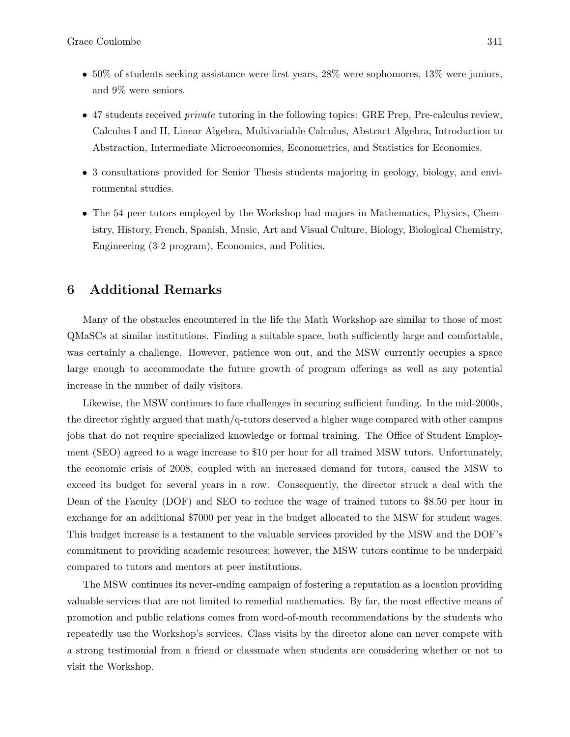- 50% of students seeking assistance were first years, 28% were sophomores, 13% were juniors, and 9% were seniors.
- 47 students received *private* tutoring in the following topics: GRE Prep, Pre-calculus review, Calculus I and II, Linear Algebra, Multivariable Calculus, Abstract Algebra, Introduction to Abstraction, Intermediate Microeconomics, Econometrics, and Statistics for Economics.
- 3 consultations provided for Senior Thesis students majoring in geology, biology, and environmental studies.
- The 54 peer tutors employed by the Workshop had majors in Mathematics, Physics, Chemistry, History, French, Spanish, Music, Art and Visual Culture, Biology, Biological Chemistry, Engineering (3-2 program), Economics, and Politics.

## 6 Additional Remarks

Many of the obstacles encountered in the life the Math Workshop are similar to those of most QMaSCs at similar institutions. Finding a suitable space, both sufficiently large and comfortable, was certainly a challenge. However, patience won out, and the MSW currently occupies a space large enough to accommodate the future growth of program offerings as well as any potential increase in the number of daily visitors.

Likewise, the MSW continues to face challenges in securing sufficient funding. In the mid-2000s, the director rightly argued that math/q-tutors deserved a higher wage compared with other campus jobs that do not require specialized knowledge or formal training. The Office of Student Employment (SEO) agreed to a wage increase to \$10 per hour for all trained MSW tutors. Unfortunately, the economic crisis of 2008, coupled with an increased demand for tutors, caused the MSW to exceed its budget for several years in a row. Consequently, the director struck a deal with the Dean of the Faculty (DOF) and SEO to reduce the wage of trained tutors to \$8.50 per hour in exchange for an additional \$7000 per year in the budget allocated to the MSW for student wages. This budget increase is a testament to the valuable services provided by the MSW and the DOF's commitment to providing academic resources; however, the MSW tutors continue to be underpaid compared to tutors and mentors at peer institutions.

The MSW continues its never-ending campaign of fostering a reputation as a location providing valuable services that are not limited to remedial mathematics. By far, the most effective means of promotion and public relations comes from word-of-mouth recommendations by the students who repeatedly use the Workshop's services. Class visits by the director alone can never compete with a strong testimonial from a friend or classmate when students are considering whether or not to visit the Workshop.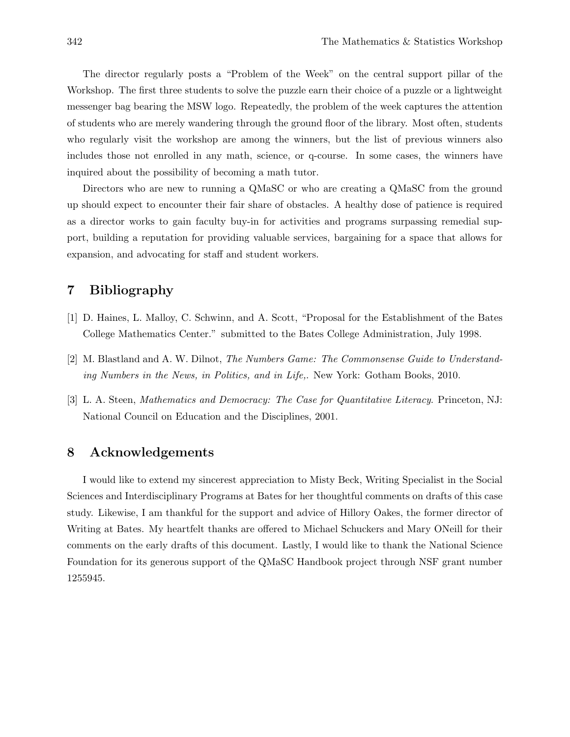The director regularly posts a "Problem of the Week" on the central support pillar of the Workshop. The first three students to solve the puzzle earn their choice of a puzzle or a lightweight messenger bag bearing the MSW logo. Repeatedly, the problem of the week captures the attention of students who are merely wandering through the ground floor of the library. Most often, students who regularly visit the workshop are among the winners, but the list of previous winners also includes those not enrolled in any math, science, or q-course. In some cases, the winners have inquired about the possibility of becoming a math tutor.

Directors who are new to running a QMaSC or who are creating a QMaSC from the ground up should expect to encounter their fair share of obstacles. A healthy dose of patience is required as a director works to gain faculty buy-in for activities and programs surpassing remedial support, building a reputation for providing valuable services, bargaining for a space that allows for expansion, and advocating for staff and student workers.

## 7 Bibliography

- [1] D. Haines, L. Malloy, C. Schwinn, and A. Scott, "Proposal for the Establishment of the Bates College Mathematics Center." submitted to the Bates College Administration, July 1998.
- [2] M. Blastland and A. W. Dilnot, The Numbers Game: The Commonsense Guide to Understanding Numbers in the News, in Politics, and in Life,. New York: Gotham Books, 2010.
- [3] L. A. Steen, Mathematics and Democracy: The Case for Quantitative Literacy. Princeton, NJ: National Council on Education and the Disciplines, 2001.

## 8 Acknowledgements

I would like to extend my sincerest appreciation to Misty Beck, Writing Specialist in the Social Sciences and Interdisciplinary Programs at Bates for her thoughtful comments on drafts of this case study. Likewise, I am thankful for the support and advice of Hillory Oakes, the former director of Writing at Bates. My heartfelt thanks are offered to Michael Schuckers and Mary ONeill for their comments on the early drafts of this document. Lastly, I would like to thank the National Science Foundation for its generous support of the QMaSC Handbook project through NSF grant number 1255945.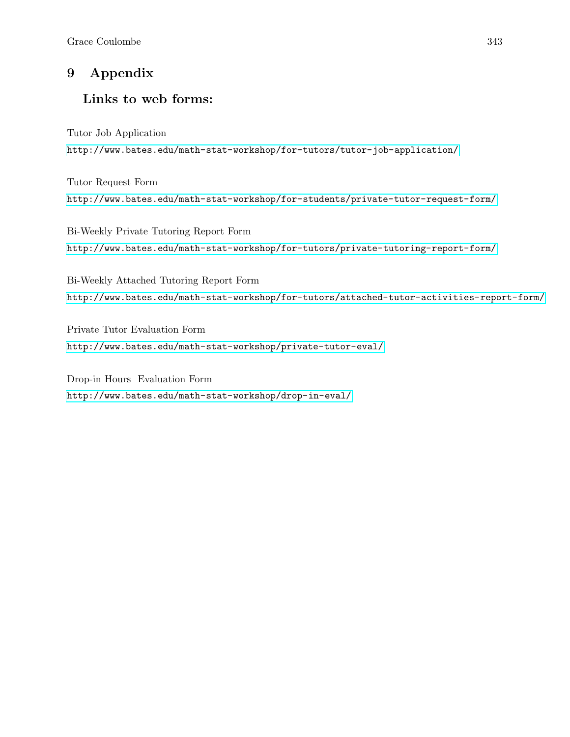## 9 Appendix

## Links to web forms:

Tutor Job Application <http://www.bates.edu/math-stat-workshop/for-tutors/tutor-job-application/>

Tutor Request Form <http://www.bates.edu/math-stat-workshop/for-students/private-tutor-request-form/>

Bi-Weekly Private Tutoring Report Form <http://www.bates.edu/math-stat-workshop/for-tutors/private-tutoring-report-form/>

Bi-Weekly Attached Tutoring Report Form <http://www.bates.edu/math-stat-workshop/for-tutors/attached-tutor-activities-report-form/>

Private Tutor Evaluation Form <http://www.bates.edu/math-stat-workshop/private-tutor-eval/>

Drop-in Hours Evaluation Form <http://www.bates.edu/math-stat-workshop/drop-in-eval/>